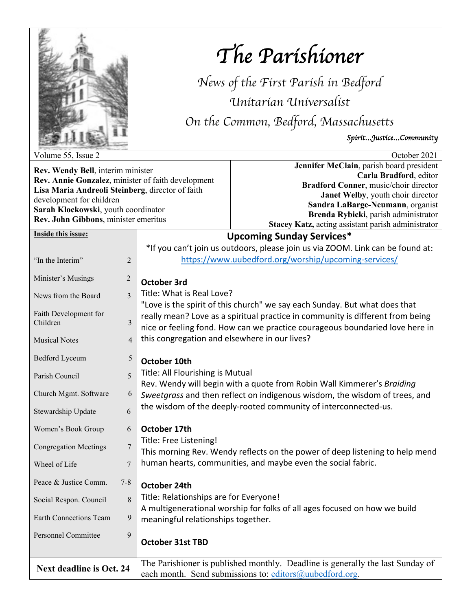

# *The Parishioner*

*News of the First Parish in Bedford Unitarian Universalist On the Common, Bedford, Massachusetts*

#### *Spirit…Justice…Community*

**Rev. Wendy Bell**, interim minister **Rev. Annie Gonzalez**, minister of faith development **Lisa Maria Andreoli Steinberg**, director of faith development for children **Sarah Klockowski**, youth coordinator **Rev. John Gibbons**, minister emeritus

Volume 55, Issue 2 Contract 2021 **Jennifer McClain**, parish board president **Carla Bradford**, editor **Bradford Conner**, music/choir director **Janet Welby**, youth choir director **Sandra LaBarge-Neumann**, organist **Brenda Rybicki**, parish administrator **Stacey Katz,** acting assistant parish administrator

| Inside this issue:                |                | <b>Upcoming Sunday Services*</b>                                                                                                                                                                                                             |
|-----------------------------------|----------------|----------------------------------------------------------------------------------------------------------------------------------------------------------------------------------------------------------------------------------------------|
|                                   |                | *If you can't join us outdoors, please join us via ZOOM. Link can be found at:                                                                                                                                                               |
| "In the Interim"                  | $\overline{2}$ | https://www.uubedford.org/worship/upcoming-services/                                                                                                                                                                                         |
| Minister's Musings                | $\overline{2}$ | <b>October 3rd</b>                                                                                                                                                                                                                           |
| News from the Board               | 3              | Title: What is Real Love?                                                                                                                                                                                                                    |
| Faith Development for<br>Children | 3              | "Love is the spirit of this church" we say each Sunday. But what does that<br>really mean? Love as a spiritual practice in community is different from being<br>nice or feeling fond. How can we practice courageous boundaried love here in |
| <b>Musical Notes</b>              | $\overline{4}$ | this congregation and elsewhere in our lives?                                                                                                                                                                                                |
| Bedford Lyceum                    | 5              | October 10th                                                                                                                                                                                                                                 |
| Parish Council                    | 5              | Title: All Flourishing is Mutual<br>Rev. Wendy will begin with a quote from Robin Wall Kimmerer's Braiding<br>Sweetgrass and then reflect on indigenous wisdom, the wisdom of trees, and                                                     |
| Church Mgmt. Software             | 6              |                                                                                                                                                                                                                                              |
| Stewardship Update                | 6              | the wisdom of the deeply-rooted community of interconnected-us.                                                                                                                                                                              |
| Women's Book Group                | 6              | October 17th                                                                                                                                                                                                                                 |
| <b>Congregation Meetings</b>      | 7              | Title: Free Listening!<br>This morning Rev. Wendy reflects on the power of deep listening to help mend                                                                                                                                       |
| Wheel of Life                     | $\overline{7}$ | human hearts, communities, and maybe even the social fabric.                                                                                                                                                                                 |
| Peace & Justice Comm.             | $7 - 8$        | October 24th                                                                                                                                                                                                                                 |
| Social Respon. Council            | 8              | Title: Relationships are for Everyone!<br>A multigenerational worship for folks of all ages focused on how we build<br>meaningful relationships together.                                                                                    |
| Earth Connections Team            | 9              |                                                                                                                                                                                                                                              |
| <b>Personnel Committee</b>        | 9              | <b>October 31st TBD</b>                                                                                                                                                                                                                      |
| <b>Next deadline is Oct. 24</b>   |                | The Parishioner is published monthly. Deadline is generally the last Sunday of<br>each month. Send submissions to: editors@uubedford.org.                                                                                                    |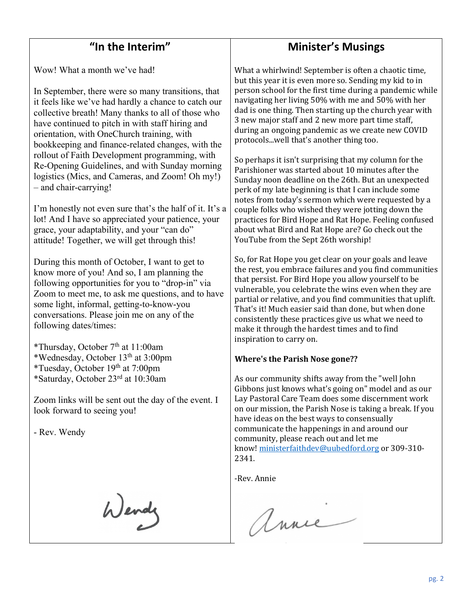# **"In the Interim"**

Wow! What a month we've had!

In September, there were so many transitions, that it feels like we've had hardly a chance to catch our collective breath! Many thanks to all of those who have continued to pitch in with staff hiring and orientation, with OneChurch training, with bookkeeping and finance-related changes, with the rollout of Faith Development programming, with Re-Opening Guidelines, and with Sunday morning logistics (Mics, and Cameras, and Zoom! Oh my!) – and chair-carrying!

I'm honestly not even sure that's the half of it. It's a lot! And I have so appreciated your patience, your grace, your adaptability, and your "can do" attitude! Together, we will get through this!

During this month of October, I want to get to know more of you! And so, I am planning the following opportunities for you to "drop-in" via Zoom to meet me, to ask me questions, and to have some light, informal, getting-to-know-you conversations. Please join me on any of the following dates/times:

\*Thursday, October  $7<sup>th</sup>$  at  $11:00$ am \*Wednesday, October 13th at 3:00pm \*Tuesday, October 19th at 7:00pm

\*Saturday, October 23rd at 10:30am

Zoom links will be sent out the day of the event. I look forward to seeing you!

- Rev. Wendy

Wende

What a whirlwind! September is often a chaotic time, but this year it is even more so. Sending my kid to in

**Minister's Musings**

person school for the first time during a pandemic while navigating her living 50% with me and 50% with her dad is one thing. Then starting up the church year with 3 new major staff and 2 new more part time staff, during an ongoing pandemic as we create new COVID protocols...well that's another thing too.

So perhaps it isn't surprising that my column for the Parishioner was started about 10 minutes after the Sunday noon deadline on the 26th. But an unexpected perk of my late beginning is that I can include some notes from today's sermon which were requested by a couple folks who wished they were jotting down the practices for Bird Hope and Rat Hope. Feeling confused about what Bird and Rat Hope are? Go check out the YouTube from the Sept 26th worship!

So, for Rat Hope you get clear on your goals and leave the rest, you embrace failures and you find communities that persist. For Bird Hope you allow yourself to be vulnerable, you celebrate the wins even when they are partial or relative, and you find communities that uplift. That's it! Much easier said than done, but when done consistently these practices give us what we need to make it through the hardest times and to find inspiration to carry on.

#### **Where's the Parish Nose gone??**

As our community shifts away from the "well John Gibbons just knows what's going on" model and as our Lay Pastoral Care Team does some discernment work on our mission, the Parish Nose is taking a break. If you have ideas on the best ways to consensually communicate the happenings in and around our community, please reach out and let me know! ministerfaithdev@uubedford.org or 309-310-2341.

-Rev. Annie

annie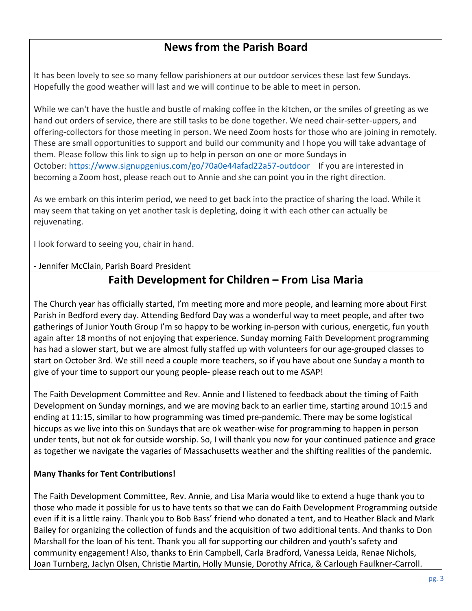## **News from the Parish Board**

It has been lovely to see so many fellow parishioners at our outdoor services these last few Sundays. Hopefully the good weather will last and we will continue to be able to meet in person.

While we can't have the hustle and bustle of making coffee in the kitchen, or the smiles of greeting as we hand out orders of service, there are still tasks to be done together. We need chair-setter-uppers, and offering-collectors for those meeting in person. We need Zoom hosts for those who are joining in remotely. These are small opportunities to support and build our community and I hope you will take advantage of them. Please follow this link to sign up to help in person on one or more Sundays in October: https://www.signupgenius.com/go/70a0e44afad22a57-outdoor If you are interested in becoming a Zoom host, please reach out to Annie and she can point you in the right direction.

As we embark on this interim period, we need to get back into the practice of sharing the load. While it may seem that taking on yet another task is depleting, doing it with each other can actually be rejuvenating.

I look forward to seeing you, chair in hand.

- Jennifer McClain, Parish Board President

## **Faith Development for Children – From Lisa Maria**

The Church year has officially started, I'm meeting more and more people, and learning more about First Parish in Bedford every day. Attending Bedford Day was a wonderful way to meet people, and after two gatherings of Junior Youth Group I'm so happy to be working in-person with curious, energetic, fun youth again after 18 months of not enjoying that experience. Sunday morning Faith Development programming has had a slower start, but we are almost fully staffed up with volunteers for our age-grouped classes to start on October 3rd. We still need a couple more teachers, so if you have about one Sunday a month to give of your time to support our young people- please reach out to me ASAP!

The Faith Development Committee and Rev. Annie and I listened to feedback about the timing of Faith Development on Sunday mornings, and we are moving back to an earlier time, starting around 10:15 and ending at 11:15, similar to how programming was timed pre-pandemic. There may be some logistical hiccups as we live into this on Sundays that are ok weather-wise for programming to happen in person under tents, but not ok for outside worship. So, I will thank you now for your continued patience and grace as together we navigate the vagaries of Massachusetts weather and the shifting realities of the pandemic.

#### **Many Thanks for Tent Contributions!**

The Faith Development Committee, Rev. Annie, and Lisa Maria would like to extend a huge thank you to those who made it possible for us to have tents so that we can do Faith Development Programming outside even if it is a little rainy. Thank you to Bob Bass' friend who donated a tent, and to Heather Black and Mark Bailey for organizing the collection of funds and the acquisition of two additional tents. And thanks to Don Marshall for the loan of his tent. Thank you all for supporting our children and youth's safety and community engagement! Also, thanks to Erin Campbell, Carla Bradford, Vanessa Leida, Renae Nichols, Joan Turnberg, Jaclyn Olsen, Christie Martin, Holly Munsie, Dorothy Africa, & Carlough Faulkner-Carroll.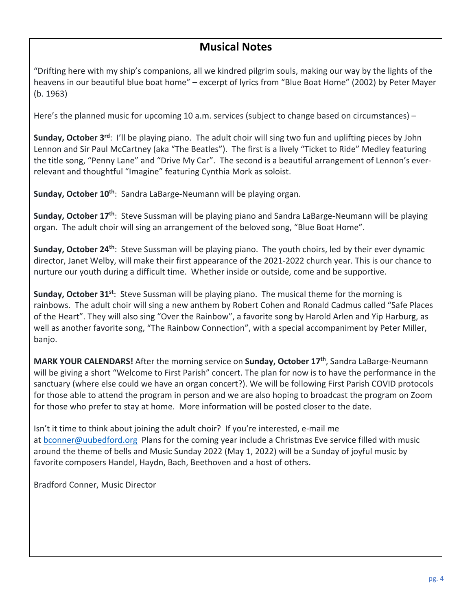## **Musical Notes**

"Drifting here with my ship's companions, all we kindred pilgrim souls, making our way by the lights of the heavens in our beautiful blue boat home" – excerpt of lyrics from "Blue Boat Home" (2002) by Peter Mayer (b. 1963)

Here's the planned music for upcoming 10 a.m. services (subject to change based on circumstances) –

Sunday, October 3<sup>rd</sup>: I'll be playing piano. The adult choir will sing two fun and uplifting pieces by John Lennon and Sir Paul McCartney (aka "The Beatles"). The first is a lively "Ticket to Ride" Medley featuring the title song, "Penny Lane" and "Drive My Car". The second is a beautiful arrangement of Lennon's everrelevant and thoughtful "Imagine" featuring Cynthia Mork as soloist.

Sunday, October 10<sup>th</sup>: Sandra LaBarge-Neumann will be playing organ.

**Sunday, October 17th**: Steve Sussman will be playing piano and Sandra LaBarge-Neumann will be playing organ. The adult choir will sing an arrangement of the beloved song, "Blue Boat Home".

**Sunday, October 24th**: Steve Sussman will be playing piano. The youth choirs, led by their ever dynamic director, Janet Welby, will make their first appearance of the 2021-2022 church year. This is our chance to nurture our youth during a difficult time. Whether inside or outside, come and be supportive.

**Sunday, October 31st**: Steve Sussman will be playing piano. The musical theme for the morning is rainbows. The adult choir will sing a new anthem by Robert Cohen and Ronald Cadmus called "Safe Places of the Heart". They will also sing "Over the Rainbow", a favorite song by Harold Arlen and Yip Harburg, as well as another favorite song, "The Rainbow Connection", with a special accompaniment by Peter Miller, banjo.

**MARK YOUR CALENDARS!** After the morning service on **Sunday, October 17th**, Sandra LaBarge-Neumann will be giving a short "Welcome to First Parish" concert. The plan for now is to have the performance in the sanctuary (where else could we have an organ concert?). We will be following First Parish COVID protocols for those able to attend the program in person and we are also hoping to broadcast the program on Zoom for those who prefer to stay at home. More information will be posted closer to the date.

Isn't it time to think about joining the adult choir? If you're interested, e-mail me at bconner@uubedford.org Plans for the coming year include a Christmas Eve service filled with music around the theme of bells and Music Sunday 2022 (May 1, 2022) will be a Sunday of joyful music by favorite composers Handel, Haydn, Bach, Beethoven and a host of others.

Bradford Conner, Music Director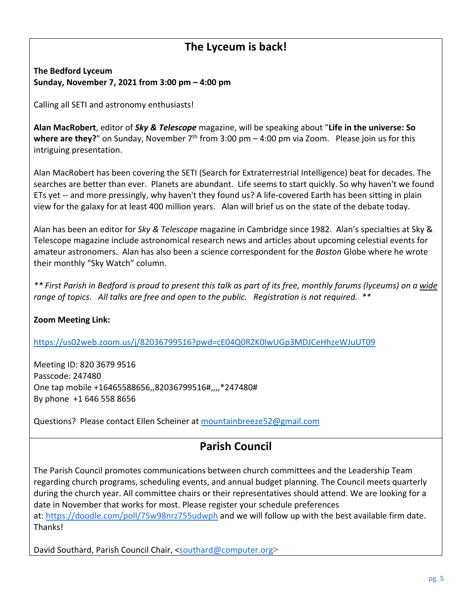# **The Lyceum is back!**

#### **The Bedford Lyceum Sunday, November 7, 2021 from 3:00 pm – 4:00 pm**

Calling all SETI and astronomy enthusiasts!

**Alan MacRobert**, editor of *Sky & Telescope* magazine, will be speaking about "**Life in the universe: So where are they?**" on Sunday, November  $7<sup>th</sup>$  from 3:00 pm – 4:00 pm via Zoom. Please join us for this intriguing presentation.

Alan MacRobert has been covering the SETI (Search for Extraterrestrial Intelligence) beat for decades. The searches are better than ever. Planets are abundant. Life seems to start quickly. So why haven't we found ETs yet -- and more pressingly, why haven't they found us? A life-covered Earth has been sitting in plain view for the galaxy for at least 400 million years. Alan will brief us on the state of the debate today.

Alan has been an editor for *Sky & Telescope* magazine in Cambridge since 1982. Alan's specialties at Sky & Telescope magazine include astronomical research news and articles about upcoming celestial events for amateur astronomers. Alan has also been a science correspondent for the *Boston* Globe where he wrote their monthly "Sky Watch" column.

*\*\* First Parish in Bedford is proud to present this talk as part of its free, monthly forums (lyceums) on a wide range of topics. All talks are free and open to the public. Registration is not required. \*\**

#### **Zoom Meeting Link:**

https://us02web.zoom.us/j/82036799516?pwd=cE04Q0RZK0lwUGp3MDJCeHhzeWJuUT09

Meeting ID: 820 3679 9516 Passcode: 247480 One tap mobile +16465588656,,82036799516#,,,,\*247480# By phone +1 646 558 8656

Questions? Please contact Ellen Scheiner at mountainbreeze52@gmail.com

## **Parish Council**

The Parish Council promotes communications between church committees and the Leadership Team regarding church programs, scheduling events, and annual budget planning. The Council meets quarterly during the church year. All committee chairs or their representatives should attend. We are looking for a date in November that works for most. Please register your schedule preferences at: https://doodle.com/poll/75w98nrz755udwph and we will follow up with the best available firm date. Thanks!

David Southard, Parish Council Chair, <southard@computer.org>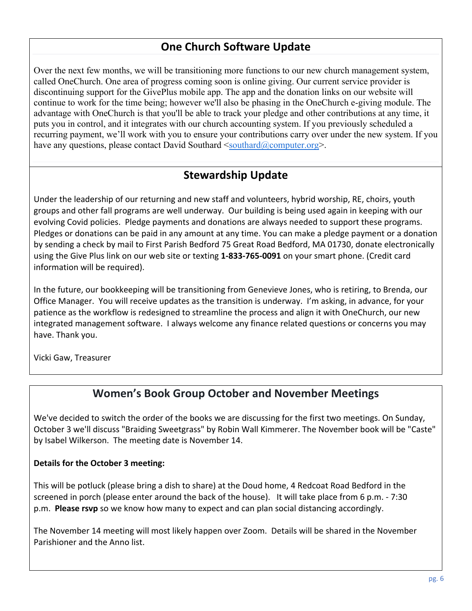## **One Church Software Update**

Over the next few months, we will be transitioning more functions to our new church management system, called OneChurch. One area of progress coming soon is online giving. Our current service provider is discontinuing support for the GivePlus mobile app. The app and the donation links on our website will continue to work for the time being; however we'll also be phasing in the OneChurch e-giving module. The advantage with OneChurch is that you'll be able to track your pledge and other contributions at any time, it puts you in control, and it integrates with our church accounting system. If you previously scheduled a recurring payment, we'll work with you to ensure your contributions carry over under the new system. If you have any questions, please contact David Southard  $\leq$ southard  $\omega$ computer.org>.

## **Stewardship Update**

Under the leadership of our returning and new staff and volunteers, hybrid worship, RE, choirs, youth groups and other fall programs are well underway. Our building is being used again in keeping with our evolving Covid policies. Pledge payments and donations are always needed to support these programs. Pledges or donations can be paid in any amount at any time. You can make a pledge payment or a donation by sending a check by mail to First Parish Bedford 75 Great Road Bedford, MA 01730, donate electronically using the Give Plus link on our web site or texting **1-833-765-0091** on your smart phone. (Credit card information will be required).

In the future, our bookkeeping will be transitioning from Genevieve Jones, who is retiring, to Brenda, our Office Manager. You will receive updates as the transition is underway. I'm asking, in advance, for your patience as the workflow is redesigned to streamline the process and align it with OneChurch, our new integrated management software. I always welcome any finance related questions or concerns you may have. Thank you.

Vicki Gaw, Treasurer

## **Women's Book Group October and November Meetings**

We've decided to switch the order of the books we are discussing for the first two meetings. On Sunday, October 3 we'll discuss "Braiding Sweetgrass" by Robin Wall Kimmerer. The November book will be "Caste" by Isabel Wilkerson. The meeting date is November 14.

#### **Details for the October 3 meeting:**

This will be potluck (please bring a dish to share) at the Doud home, 4 Redcoat Road Bedford in the screened in porch (please enter around the back of the house). It will take place from 6 p.m. - 7:30 p.m. **Please rsvp** so we know how many to expect and can plan social distancing accordingly.

The November 14 meeting will most likely happen over Zoom. Details will be shared in the November Parishioner and the Anno list.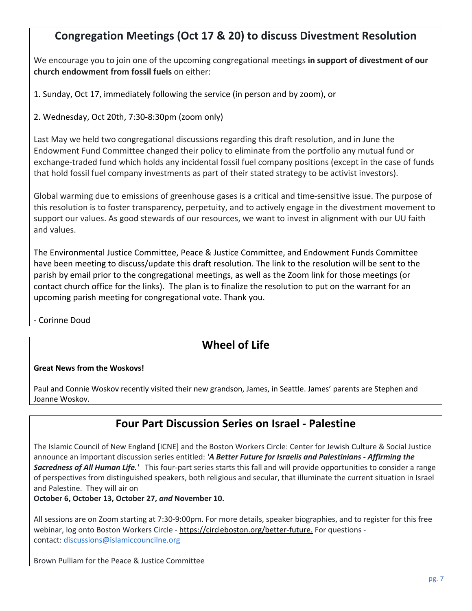# **Congregation Meetings (Oct 17 & 20) to discuss Divestment Resolution**

We encourage you to join one of the upcoming congregational meetings **in support of divestment of our church endowment from fossil fuels** on either:

1. Sunday, Oct 17, immediately following the service (in person and by zoom), or

2. Wednesday, Oct 20th, 7:30-8:30pm (zoom only)

Last May we held two congregational discussions regarding this draft resolution, and in June the Endowment Fund Committee changed their policy to eliminate from the portfolio any mutual fund or exchange-traded fund which holds any incidental fossil fuel company positions (except in the case of funds that hold fossil fuel company investments as part of their stated strategy to be activist investors).

Global warming due to emissions of greenhouse gases is a critical and time-sensitive issue. The purpose of this resolution is to foster transparency, perpetuity, and to actively engage in the divestment movement to support our values. As good stewards of our resources, we want to invest in alignment with our UU faith and values.

The Environmental Justice Committee, Peace & Justice Committee, and Endowment Funds Committee have been meeting to discuss/update this draft resolution. The link to the resolution will be sent to the parish by email prior to the congregational meetings, as well as the Zoom link for those meetings (or contact church office for the links). The plan is to finalize the resolution to put on the warrant for an upcoming parish meeting for congregational vote. Thank you.

- Corinne Doud

# **Wheel of Life**

#### **Great News from the Woskovs!**

Paul and Connie Woskov recently visited their new grandson, James, in Seattle. James' parents are Stephen and Joanne Woskov.

## **Four Part Discussion Series on Israel - Palestine**

The Islamic Council of New England [ICNE] and the Boston Workers Circle: Center for Jewish Culture & Social Justice announce an important discussion series entitled: *'A Better Future for Israelis and Palestinians - Affirming the Sacredness of All Human Life.'* This four-part series starts this fall and will provide opportunities to consider a range of perspectives from distinguished speakers, both religious and secular, that illuminate the current situation in Israel and Palestine. They will air on

**October 6, October 13, October 27,** *and* **November 10.**

All sessions are on Zoom starting at 7:30-9:00pm. For more details, speaker biographies, and to register for this free webinar, log onto Boston Workers Circle - https://circleboston.org/better-future. For questions contact: discussions@islamiccouncilne.org

Brown Pulliam for the Peace & Justice Committee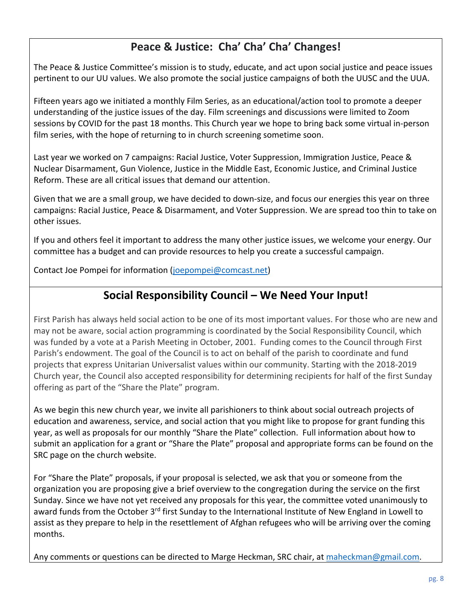# **Peace & Justice: Cha' Cha' Cha' Changes!**

The Peace & Justice Committee's mission is to study, educate, and act upon social justice and peace issues pertinent to our UU values. We also promote the social justice campaigns of both the UUSC and the UUA.

Fifteen years ago we initiated a monthly Film Series, as an educational/action tool to promote a deeper understanding of the justice issues of the day. Film screenings and discussions were limited to Zoom sessions by COVID for the past 18 months. This Church year we hope to bring back some virtual in-person film series, with the hope of returning to in church screening sometime soon.

Last year we worked on 7 campaigns: Racial Justice, Voter Suppression, Immigration Justice, Peace & Nuclear Disarmament, Gun Violence, Justice in the Middle East, Economic Justice, and Criminal Justice Reform. These are all critical issues that demand our attention.

Given that we are a small group, we have decided to down-size, and focus our energies this year on three campaigns: Racial Justice, Peace & Disarmament, and Voter Suppression. We are spread too thin to take on other issues.

If you and others feel it important to address the many other justice issues, we welcome your energy. Our committee has a budget and can provide resources to help you create a successful campaign.

Contact Joe Pompei for information (joepompei@comcast.net)

## **Social Responsibility Council – We Need Your Input!**

First Parish has always held social action to be one of its most important values. For those who are new and may not be aware, social action programming is coordinated by the Social Responsibility Council, which was funded by a vote at a Parish Meeting in October, 2001. Funding comes to the Council through First Parish's endowment. The goal of the Council is to act on behalf of the parish to coordinate and fund projects that express Unitarian Universalist values within our community. Starting with the 2018-2019 Church year, the Council also accepted responsibility for determining recipients for half of the first Sunday offering as part of the "Share the Plate" program.

As we begin this new church year, we invite all parishioners to think about social outreach projects of education and awareness, service, and social action that you might like to propose for grant funding this year, as well as proposals for our monthly "Share the Plate" collection. Full information about how to submit an application for a grant or "Share the Plate" proposal and appropriate forms can be found on the SRC page on the church website.

For "Share the Plate" proposals, if your proposal is selected, we ask that you or someone from the organization you are proposing give a brief overview to the congregation during the service on the first Sunday. Since we have not yet received any proposals for this year, the committee voted unanimously to award funds from the October 3<sup>rd</sup> first Sunday to the International Institute of New England in Lowell to assist as they prepare to help in the resettlement of Afghan refugees who will be arriving over the coming months.

Any comments or questions can be directed to Marge Heckman, SRC chair, at maheckman@gmail.com.